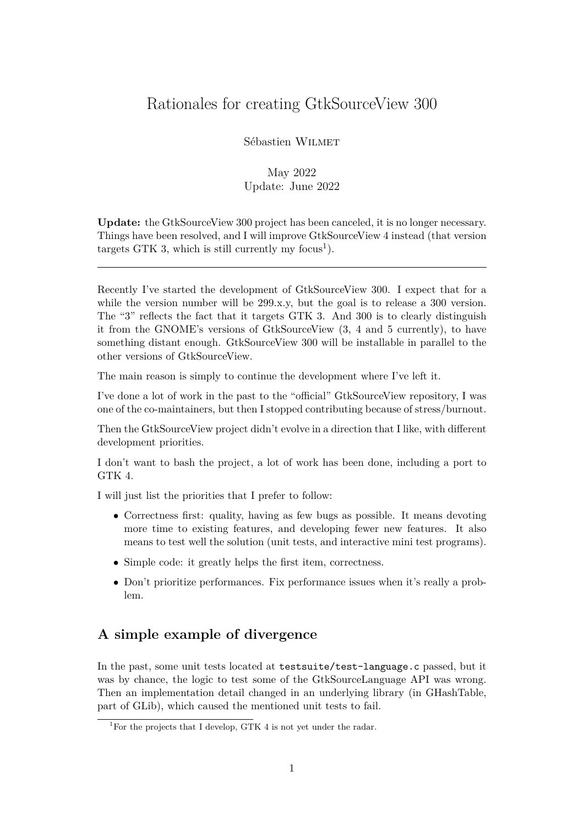# Rationales for creating GtkSourceView 300

Sébastien Wilmet

#### May 2022 Update: June 2022

**Update:** the GtkSourceView 300 project has been canceled, it is no longer necessary. Things have been resolved, and I will improve GtkSourceView 4 instead (that version targets GTK 3, which is still currently my focus<sup>[1](#page-0-0)</sup>).

Recently I've started the development of GtkSourceView 300. I expect that for a while the version number will be 299.x.y, but the goal is to release a 300 version. The "3" reflects the fact that it targets GTK 3. And 300 is to clearly distinguish it from the GNOME's versions of GtkSourceView (3, 4 and 5 currently), to have something distant enough. GtkSourceView 300 will be installable in parallel to the other versions of GtkSourceView.

The main reason is simply to continue the development where I've left it.

I've done a lot of work in the past to the "official" GtkSourceView repository, I was one of the co-maintainers, but then I stopped contributing because of stress/burnout.

Then the GtkSourceView project didn't evolve in a direction that I like, with different development priorities.

I don't want to bash the project, a lot of work has been done, including a port to GTK 4.

I will just list the priorities that I prefer to follow:

- Correctness first: quality, having as few bugs as possible. It means devoting more time to existing features, and developing fewer new features. It also means to test well the solution (unit tests, and interactive mini test programs).
- Simple code: it greatly helps the first item, correctness.
- Don't prioritize performances. Fix performance issues when it's really a problem.

## **A simple example of divergence**

In the past, some unit tests located at testsuite/test-language.c passed, but it was by chance, the logic to test some of the GtkSourceLanguage API was wrong. Then an implementation detail changed in an underlying library (in GHashTable, part of GLib), which caused the mentioned unit tests to fail.

<span id="page-0-0"></span><sup>&</sup>lt;sup>1</sup>For the projects that I develop, GTK 4 is not yet under the radar.